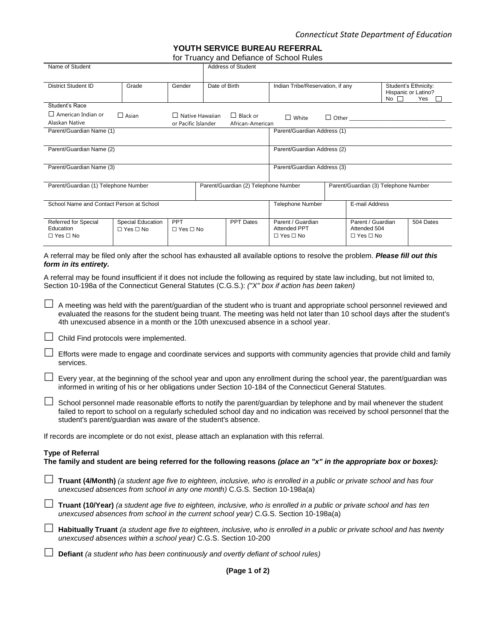**YOUTH SERVICE BUREAU REFERRAL**

for Truancy and Defiance of School Rules

| for Truancy and Defiance of School Rules                                                                                                                                                                                                                                                                                                                                                                                                                                                                                                                                                                                                                                                                                                                                                                                                                                                                                                                                                                                                                                                                                                                                                                                                                                                                                                            |                                           |                                    |               |                                                                              |                                                                  |                |                                                           |                                                              |           |
|-----------------------------------------------------------------------------------------------------------------------------------------------------------------------------------------------------------------------------------------------------------------------------------------------------------------------------------------------------------------------------------------------------------------------------------------------------------------------------------------------------------------------------------------------------------------------------------------------------------------------------------------------------------------------------------------------------------------------------------------------------------------------------------------------------------------------------------------------------------------------------------------------------------------------------------------------------------------------------------------------------------------------------------------------------------------------------------------------------------------------------------------------------------------------------------------------------------------------------------------------------------------------------------------------------------------------------------------------------|-------------------------------------------|------------------------------------|---------------|------------------------------------------------------------------------------|------------------------------------------------------------------|----------------|-----------------------------------------------------------|--------------------------------------------------------------|-----------|
| Name of Student<br>Address of Student                                                                                                                                                                                                                                                                                                                                                                                                                                                                                                                                                                                                                                                                                                                                                                                                                                                                                                                                                                                                                                                                                                                                                                                                                                                                                                               |                                           |                                    |               |                                                                              |                                                                  |                |                                                           |                                                              |           |
| <b>District Student ID</b>                                                                                                                                                                                                                                                                                                                                                                                                                                                                                                                                                                                                                                                                                                                                                                                                                                                                                                                                                                                                                                                                                                                                                                                                                                                                                                                          | Grade                                     | Gender                             | Date of Birth |                                                                              | Indian Tribe/Reservation, if any                                 |                | No $\square$                                              | Student's Ethnicity:<br>Hispanic or Latino?<br>Yes $\square$ |           |
| Student's Race<br>$\Box$ American Indian or<br>$\Box$ Asian<br>$\Box$ Native Hawaiian<br>Alaskan Native<br>or Pacific Islander<br>Parent/Guardian Name (1)                                                                                                                                                                                                                                                                                                                                                                                                                                                                                                                                                                                                                                                                                                                                                                                                                                                                                                                                                                                                                                                                                                                                                                                          |                                           |                                    |               | $\Box$ Black or<br>African-American                                          | $\Box$ White<br>Parent/Guardian Address (1)                      | $\Box$ Other   |                                                           |                                                              |           |
| Parent/Guardian Name (2)                                                                                                                                                                                                                                                                                                                                                                                                                                                                                                                                                                                                                                                                                                                                                                                                                                                                                                                                                                                                                                                                                                                                                                                                                                                                                                                            |                                           |                                    |               |                                                                              | Parent/Guardian Address (2)                                      |                |                                                           |                                                              |           |
|                                                                                                                                                                                                                                                                                                                                                                                                                                                                                                                                                                                                                                                                                                                                                                                                                                                                                                                                                                                                                                                                                                                                                                                                                                                                                                                                                     |                                           |                                    |               |                                                                              |                                                                  |                |                                                           |                                                              |           |
| Parent/Guardian Name (3)                                                                                                                                                                                                                                                                                                                                                                                                                                                                                                                                                                                                                                                                                                                                                                                                                                                                                                                                                                                                                                                                                                                                                                                                                                                                                                                            |                                           |                                    |               |                                                                              | Parent/Guardian Address (3)                                      |                |                                                           |                                                              |           |
| Parent/Guardian (1) Telephone Number                                                                                                                                                                                                                                                                                                                                                                                                                                                                                                                                                                                                                                                                                                                                                                                                                                                                                                                                                                                                                                                                                                                                                                                                                                                                                                                |                                           |                                    |               | Parent/Guardian (2) Telephone Number<br>Parent/Guardian (3) Telephone Number |                                                                  |                |                                                           |                                                              |           |
| School Name and Contact Person at School                                                                                                                                                                                                                                                                                                                                                                                                                                                                                                                                                                                                                                                                                                                                                                                                                                                                                                                                                                                                                                                                                                                                                                                                                                                                                                            |                                           |                                    |               |                                                                              | <b>Telephone Number</b>                                          | E-mail Address |                                                           |                                                              |           |
| Referred for Special<br>Education<br>$\Box$ Yes $\Box$ No                                                                                                                                                                                                                                                                                                                                                                                                                                                                                                                                                                                                                                                                                                                                                                                                                                                                                                                                                                                                                                                                                                                                                                                                                                                                                           | Special Education<br>$\Box$ Yes $\Box$ No | <b>PPT</b><br>$\Box$ Yes $\Box$ No |               | <b>PPT Dates</b>                                                             | Parent / Guardian<br><b>Attended PPT</b><br>$\Box$ Yes $\Box$ No |                | Parent / Guardian<br>Attended 504<br>$\Box$ Yes $\Box$ No |                                                              | 504 Dates |
| A referral may be found insufficient if it does not include the following as required by state law including, but not limited to,<br>Section 10-198a of the Connecticut General Statutes (C.G.S.): ("X" box if action has been taken)<br>A meeting was held with the parent/guardian of the student who is truant and appropriate school personnel reviewed and<br>evaluated the reasons for the student being truant. The meeting was held not later than 10 school days after the student's<br>4th unexcused absence in a month or the 10th unexcused absence in a school year.<br>Child Find protocols were implemented.<br>$\Box$<br>Efforts were made to engage and coordinate services and supports with community agencies that provide child and family<br>services.<br>Every year, at the beginning of the school year and upon any enrollment during the school year, the parent/guardian was<br>informed in writing of his or her obligations under Section 10-184 of the Connecticut General Statutes.<br>$\Box$<br>School personnel made reasonable efforts to notify the parent/guardian by telephone and by mail whenever the student<br>failed to report to school on a regularly scheduled school day and no indication was received by school personnel that the<br>student's parent/guardian was aware of the student's absence. |                                           |                                    |               |                                                                              |                                                                  |                |                                                           |                                                              |           |
| If records are incomplete or do not exist, please attach an explanation with this referral.                                                                                                                                                                                                                                                                                                                                                                                                                                                                                                                                                                                                                                                                                                                                                                                                                                                                                                                                                                                                                                                                                                                                                                                                                                                         |                                           |                                    |               |                                                                              |                                                                  |                |                                                           |                                                              |           |
| <b>Type of Referral</b><br>The family and student are being referred for the following reasons (place an "x" in the appropriate box or boxes):                                                                                                                                                                                                                                                                                                                                                                                                                                                                                                                                                                                                                                                                                                                                                                                                                                                                                                                                                                                                                                                                                                                                                                                                      |                                           |                                    |               |                                                                              |                                                                  |                |                                                           |                                                              |           |
| Truant (4/Month) (a student age five to eighteen, inclusive, who is enrolled in a public or private school and has four<br>unexcused absences from school in any one month) C.G.S. Section 10-198a(a)                                                                                                                                                                                                                                                                                                                                                                                                                                                                                                                                                                                                                                                                                                                                                                                                                                                                                                                                                                                                                                                                                                                                               |                                           |                                    |               |                                                                              |                                                                  |                |                                                           |                                                              |           |
| $\Box$<br>Truant (10/Year) (a student age five to eighteen, inclusive, who is enrolled in a public or private school and has ten<br>unexcused absences from school in the current school year) C.G.S. Section 10-198a(a)                                                                                                                                                                                                                                                                                                                                                                                                                                                                                                                                                                                                                                                                                                                                                                                                                                                                                                                                                                                                                                                                                                                            |                                           |                                    |               |                                                                              |                                                                  |                |                                                           |                                                              |           |
| Habitually Truant (a student age five to eighteen, inclusive, who is enrolled in a public or private school and has twenty<br>unexcused absences within a school year) C.G.S. Section 10-200                                                                                                                                                                                                                                                                                                                                                                                                                                                                                                                                                                                                                                                                                                                                                                                                                                                                                                                                                                                                                                                                                                                                                        |                                           |                                    |               |                                                                              |                                                                  |                |                                                           |                                                              |           |
| Defiant (a student who has been continuously and overtly defiant of school rules)                                                                                                                                                                                                                                                                                                                                                                                                                                                                                                                                                                                                                                                                                                                                                                                                                                                                                                                                                                                                                                                                                                                                                                                                                                                                   |                                           |                                    |               |                                                                              |                                                                  |                |                                                           |                                                              |           |

**(Page 1 of 2)**